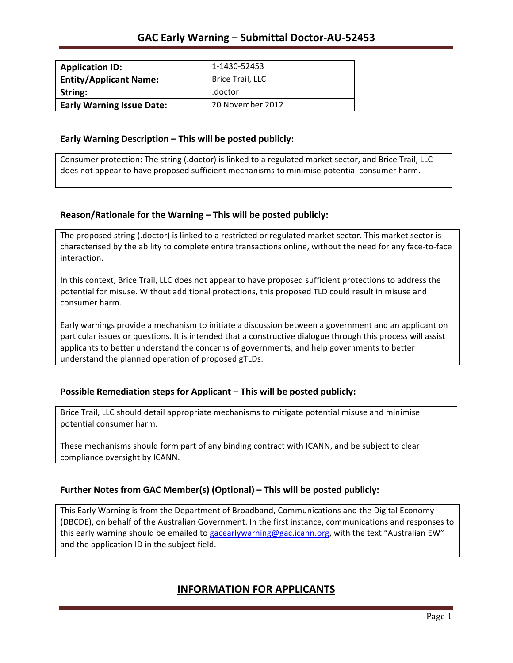| <b>Application ID:</b>           | 1-1430-52453            |
|----------------------------------|-------------------------|
| <b>Entity/Applicant Name:</b>    | <b>Brice Trail, LLC</b> |
| String:                          | .doctor                 |
| <b>Early Warning Issue Date:</b> | 20 November 2012        |

#### **Early Warning Description – This will be posted publicly:**

Consumer protection: The string (.doctor) is linked to a regulated market sector, and Brice Trail, LLC does not appear to have proposed sufficient mechanisms to minimise potential consumer harm.

## **Reason/Rationale for the Warning – This will be posted publicly:**

The proposed string (.doctor) is linked to a restricted or regulated market sector. This market sector is characterised by the ability to complete entire transactions online, without the need for any face-to-face interaction.

In this context, Brice Trail, LLC does not appear to have proposed sufficient protections to address the potential for misuse. Without additional protections, this proposed TLD could result in misuse and consumer harm.

Early warnings provide a mechanism to initiate a discussion between a government and an applicant on particular issues or questions. It is intended that a constructive dialogue through this process will assist applicants to better understand the concerns of governments, and help governments to better understand the planned operation of proposed gTLDs.

## **Possible Remediation steps for Applicant – This will be posted publicly:**

Brice Trail, LLC should detail appropriate mechanisms to mitigate potential misuse and minimise potential consumer harm.

These mechanisms should form part of any binding contract with ICANN, and be subject to clear compliance oversight by ICANN.

## **Further Notes from GAC Member(s) (Optional)** – This will be posted publicly:

This Early Warning is from the Department of Broadband, Communications and the Digital Economy (DBCDE), on behalf of the Australian Government. In the first instance, communications and responses to this early warning should be emailed to gacearlywarning@gac.icann.org, with the text "Australian EW" and the application ID in the subject field.

# **INFORMATION FOR APPLICANTS**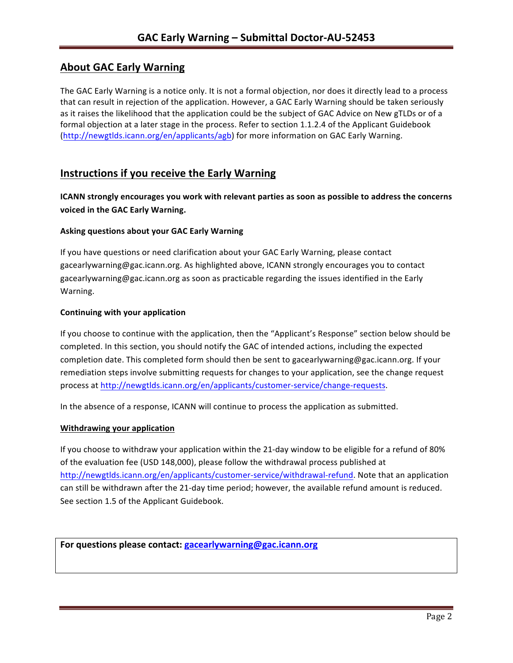# **About GAC Early Warning**

The GAC Early Warning is a notice only. It is not a formal objection, nor does it directly lead to a process that can result in rejection of the application. However, a GAC Early Warning should be taken seriously as it raises the likelihood that the application could be the subject of GAC Advice on New gTLDs or of a formal objection at a later stage in the process. Refer to section 1.1.2.4 of the Applicant Guidebook (http://newgtlds.icann.org/en/applicants/agb) for more information on GAC Early Warning.

# **Instructions if you receive the Early Warning**

**ICANN** strongly encourages you work with relevant parties as soon as possible to address the concerns **voiced in the GAC Early Warning.** 

### **Asking questions about your GAC Early Warning**

If you have questions or need clarification about your GAC Early Warning, please contact gacearlywarning@gac.icann.org. As highlighted above, ICANN strongly encourages you to contact gacearlywarning@gac.icann.org as soon as practicable regarding the issues identified in the Early Warning. 

### **Continuing with your application**

If you choose to continue with the application, then the "Applicant's Response" section below should be completed. In this section, you should notify the GAC of intended actions, including the expected completion date. This completed form should then be sent to gacearlywarning@gac.icann.org. If your remediation steps involve submitting requests for changes to your application, see the change request process at http://newgtlds.icann.org/en/applicants/customer-service/change-requests.

In the absence of a response, ICANN will continue to process the application as submitted.

#### **Withdrawing your application**

If you choose to withdraw your application within the 21-day window to be eligible for a refund of 80% of the evaluation fee (USD 148,000), please follow the withdrawal process published at http://newgtlds.icann.org/en/applicants/customer-service/withdrawal-refund. Note that an application can still be withdrawn after the 21-day time period; however, the available refund amount is reduced. See section 1.5 of the Applicant Guidebook.

```
For questions please contact: gacearlywarning@gac.icann.org
```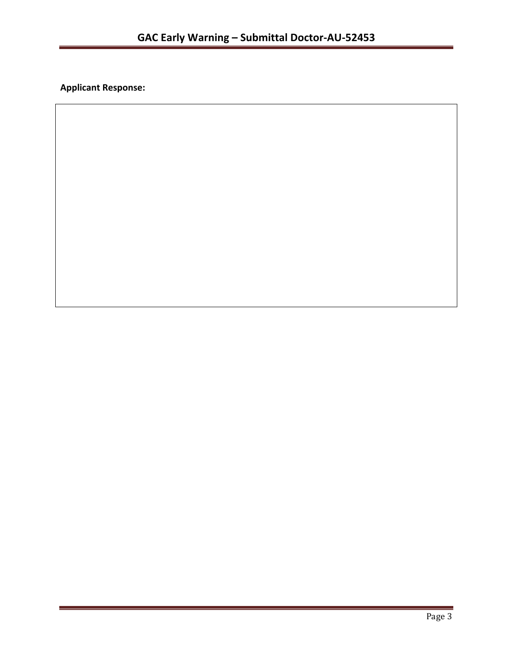**Applicant Response:**